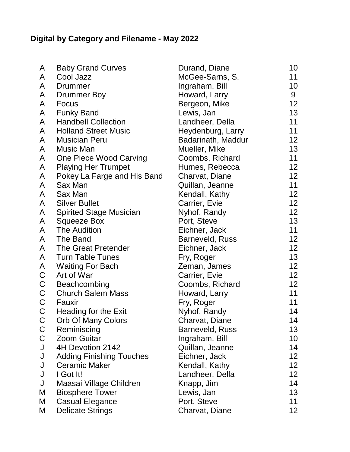## **Digital by Category and Filename - May 2022**

| A           | <b>Baby Grand Curves</b>        | Durand, Diane          | 10 |
|-------------|---------------------------------|------------------------|----|
| A           | Cool Jazz                       | McGee-Sarns, S.        | 11 |
| A           | Drummer                         | Ingraham, Bill         | 10 |
| A           | Drummer Boy                     | Howard, Larry          | 9  |
| A           | Focus                           | Bergeon, Mike          | 12 |
| A           | <b>Funky Band</b>               | Lewis, Jan             | 13 |
| A           | <b>Handbell Collection</b>      | Landheer, Della        | 11 |
| A           | <b>Holland Street Music</b>     | Heydenburg, Larry      | 11 |
| A           | <b>Musician Peru</b>            | Badarinath, Maddur     | 12 |
| A           | Music Man                       | Mueller, Mike          | 13 |
| A           | One Piece Wood Carving          | Coombs, Richard        | 11 |
| A           | <b>Playing Her Trumpet</b>      | Humes, Rebecca         | 12 |
| A           | Pokey La Farge and His Band     | Charvat, Diane         | 12 |
| A           | Sax Man                         | Quillan, Jeanne        | 11 |
| A           | Sax Man                         | Kendall, Kathy         | 12 |
| A           | <b>Silver Bullet</b>            | Carrier, Evie          | 12 |
| A           | <b>Spirited Stage Musician</b>  | Nyhof, Randy           | 12 |
| A           | <b>Squeeze Box</b>              | Port, Steve            | 13 |
| A           | <b>The Audition</b>             | Eichner, Jack          | 11 |
| A           | The Band                        | Barneveld, Russ        | 12 |
| A           | The Great Pretender             | Eichner, Jack          | 12 |
| A           | <b>Turn Table Tunes</b>         | Fry, Roger             | 13 |
| A           | <b>Waiting For Bach</b>         | Zeman, James           | 12 |
| $\mathsf C$ | Art of War                      | Carrier, Evie          | 12 |
| $\mathsf C$ | Beachcombing                    | Coombs, Richard        | 12 |
| $\mathsf C$ | <b>Church Salem Mass</b>        | Howard, Larry          | 11 |
| $\mathsf C$ | Fauxir                          | Fry, Roger             | 11 |
| $\mathsf C$ | Heading for the Exit            | Nyhof, Randy           | 14 |
| C           | Orb Of Many Colors              | Charvat, Diane         | 14 |
| $\mathsf C$ | Reminiscing                     | <b>Barneveld, Russ</b> | 13 |
| $\mathsf C$ | <b>Zoom Guitar</b>              | Ingraham, Bill         | 10 |
| J           | 4H Devotion 2142                | Quillan, Jeanne        | 14 |
| J           | <b>Adding Finishing Touches</b> | Eichner, Jack          | 12 |
| J           | <b>Ceramic Maker</b>            | Kendall, Kathy         | 12 |
| J           | I Got It!                       | Landheer, Della        | 12 |
| J           | Maasai Village Children         | Knapp, Jim             | 14 |
| M           | <b>Biosphere Tower</b>          | Lewis, Jan             | 13 |
| Μ           | <b>Casual Elegance</b>          | Port, Steve            | 11 |
| M           | <b>Delicate Strings</b>         | Charvat, Diane         | 12 |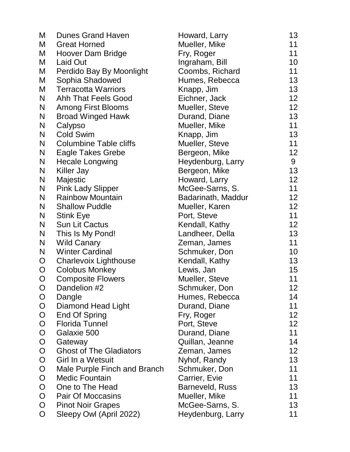| M            | <b>Dunes Grand Haven</b>       | Howard, Larry      | 13 |
|--------------|--------------------------------|--------------------|----|
| M            | <b>Great Horned</b>            | Mueller, Mike      | 11 |
| M            | Hoover Dam Bridge              | Fry, Roger         | 11 |
| M            | <b>Laid Out</b>                | Ingraham, Bill     | 10 |
| M            | Perdido Bay By Moonlight       | Coombs, Richard    | 11 |
| M            | Sophia Shadowed                | Humes, Rebecca     | 13 |
| M            | <b>Terracotta Warriors</b>     | Knapp, Jim         | 13 |
| N            | <b>Ahh That Feels Good</b>     | Eichner, Jack      | 12 |
| N            | <b>Among First Blooms</b>      | Mueller, Steve     | 12 |
| N            | <b>Broad Winged Hawk</b>       | Durand, Diane      | 13 |
| N            | Calypso                        | Mueller, Mike      | 11 |
| N            | <b>Cold Swim</b>               | Knapp, Jim         | 13 |
| N            | <b>Columbine Table cliffs</b>  | Mueller, Steve     | 11 |
| N            | <b>Eagle Takes Grebe</b>       | Bergeon, Mike      | 12 |
| N            | <b>Hecale Longwing</b>         | Heydenburg, Larry  | 9  |
| N            | Killer Jay                     | Bergeon, Mike      | 13 |
| N            | Majestic                       | Howard, Larry      | 12 |
| N            | <b>Pink Lady Slipper</b>       | McGee-Sarns, S.    | 11 |
| N            | <b>Rainbow Mountain</b>        | Badarinath, Maddur | 12 |
| N            | <b>Shallow Puddle</b>          | Mueller, Karen     | 12 |
| N            | <b>Stink Eye</b>               | Port, Steve        | 11 |
| N            | Sun Lit Cactus                 | Kendall, Kathy     | 12 |
| N            | This Is My Pond!               | Landheer, Della    | 13 |
| N            | <b>Wild Canary</b>             | Zeman, James       | 11 |
| N            | <b>Winter Cardinal</b>         | Schmuker, Don      | 10 |
| O            | <b>Charlevoix Lighthouse</b>   | Kendall, Kathy     | 13 |
| $\mathsf{O}$ | <b>Colobus Monkey</b>          | Lewis, Jan         | 15 |
| O            | <b>Composite Flowers</b>       | Mueller, Steve     | 11 |
| O            | Dandelion #2                   | Schmuker, Don      | 12 |
| O            | Dangle                         | Humes, Rebecca     | 14 |
| $\mathsf{O}$ | Diamond Head Light             | Durand, Diane      | 11 |
| $\mathsf{O}$ | End Of Spring                  | Fry, Roger         | 12 |
| $\mathsf{O}$ | <b>Florida Tunnel</b>          | Port, Steve        | 12 |
| O            | Galaxie 500                    | Durand, Diane      | 11 |
| $\mathsf{O}$ | Gateway                        | Quillan, Jeanne    | 14 |
| $\mathsf{O}$ | <b>Ghost of The Gladiators</b> | Zeman, James       | 12 |
| O            | Girl In a Wetsuit              | Nyhof, Randy       | 13 |
| $\mathsf{O}$ | Male Purple Finch and Branch   | Schmuker, Don      | 11 |
| O            | <b>Medic Fountain</b>          | Carrier, Evie      | 11 |
| O            | One to The Head                | Barneveld, Russ    | 13 |
| $\mathsf{O}$ | Pair Of Moccasins              | Mueller, Mike      | 11 |
| O            | <b>Pinot Noir Grapes</b>       | McGee-Sarns, S.    | 13 |
| O            | Sleepy Owl (April 2022)        | Heydenburg, Larry  | 11 |